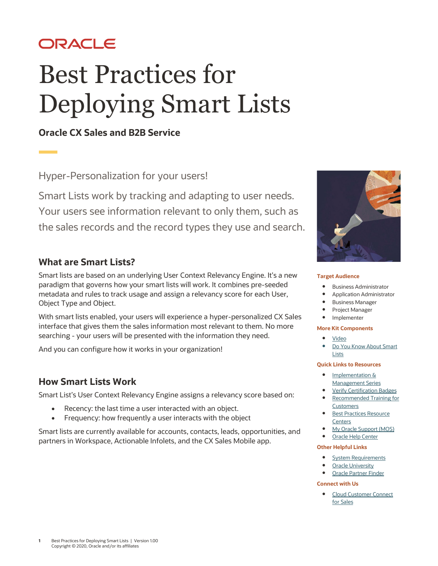# ORACLE

# Best Practices for Deploying Smart Lists

# **Oracle CX Sales and B2B Service**

Hyper-Personalization for your users!

Smart Lists work by tracking and adapting to user needs. Your users see information relevant to only them, such as the sales records and the record types they use and search.

# **What are Smart Lists?**

Smart lists are based on an underlying User Context Relevancy Engine. It's a new paradigm that governs how your smart lists will work. It combines pre-seeded metadata and rules to track usage and assign a relevancy score for each User, Object Type and Object.

With smart lists enabled, your users will experience a hyper-personalized CX Sales interface that gives them the sales information most relevant to them. No more searching - your users will be presented with the information they need.

And you can configure how it works in your organization!

#### **How Smart Lists Work**

Smart List's User Context Relevancy Engine assigns a relevancy score based on:

- Recency: the last time a user interacted with an object.
- Frequency: how frequently a user interacts with the object

Smart lists are currently available for accounts, contacts, leads, opportunities, and partners in Workspace, Actionable Infolets, and the CX Sales Mobile app.



#### **Target Audience**

- Business Administrator
- Application Administrator
- Business Manager
- Project Manager
- Implementer

#### **More Kit Components**

- [Video](https://videohub.oracle.com/media/t/0_rlpsiwjo)
- [Do You Know About Smart](https://www.oracle.com/webfolder/cx-implementation/smart-lists-dyk.pdf) **[Lists](https://www.oracle.com/webfolder/cx-implementation/smart-lists-dyk.pdf)**

#### **Quick Links to Resources**

- Implementation & [Management Series](https://www.oracle.com/a/ocom/docs/implementation-and-management-series.pdf)
- [Verify Certification Badges](https://www.youracclaim.com/org/oracle/verify) [Recommended Training for](https://www.oracle.com/a/ocom/docs/recommended-training-and-certification-for-customers.pdf)
- **[Customers](https://www.oracle.com/a/ocom/docs/recommended-training-and-certification-for-customers.pdf) Best Practices Resource [Centers](https://www.oracle.com/a/ocom/docs/resource-centers-and-implementation-notes.pdf)**
- [My Oracle Support \(MOS\)](https://support.oracle.com/epmos/faces/MosIndex.jspx?_afrLoop=578622290143934&_afrWindowMode=0&_adf.ctrl-state=2qo3ce9t9_53)
- [Oracle Help Center](http://www.oracle.com/pls/topic/lookup?ctx=cloud&id=engagement)

#### **Other Helpful Links**

- [System Requirements](https://www.oracle.com/system-requirements/)
- [Oracle University](https://education.oracle.com/saas-cx/cx-sales/pFamily_657)
- [Oracle Partner Finder](https://partner-finder.oracle.com/)

#### **Connect with Us**

• [Cloud Customer Connect](https://cloudcustomerconnect.oracle.com/resources/110dfe9610/summary) for Sales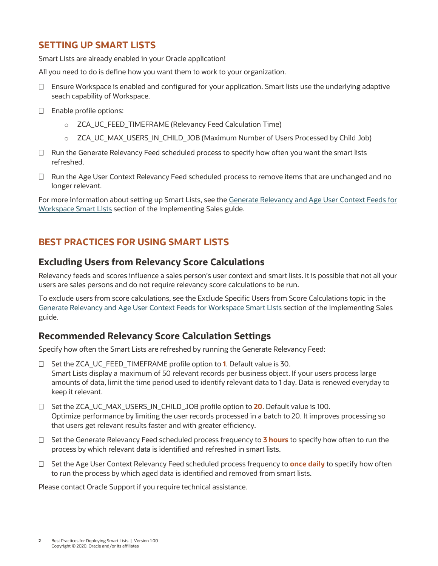## **SETTING UP SMART LISTS**

Smart Lists are already enabled in your Oracle application!

All you need to do is define how you want them to work to your organization.

- $\Box$  Ensure Workspace is enabled and configured for your application. Smart lists use the underlying adaptive seach capability of Workspace.
- $\square$  Enable profile options:
	- o ZCA\_UC\_FEED\_TIMEFRAME (Relevancy Feed Calculation Time)
	- o ZCA\_UC\_MAX\_USERS\_IN\_CHILD\_JOB (Maximum Number of Users Processed by Child Job)
- $\Box$  Run the Generate Relevancy Feed scheduled process to specify how often you want the smart lists refreshed.
- $\Box$  Run the Age User Context Relevancy Feed scheduled process to remove items that are unchanged and no longer relevant.

For more information about setting up Smart Lists, see the [Generate Relevancy and Age User Context Feeds for](http://www.oracle.com/pls/topic/lookup?ctx=cloud&id=OASAL3836765)  [Workspace Smart Lists](http://www.oracle.com/pls/topic/lookup?ctx=cloud&id=OASAL3836765) section of the Implementing Sales guide.

## **BEST PRACTICES FOR USING SMART LISTS**

#### **Excluding Users from Relevancy Score Calculations**

Relevancy feeds and scores influence a sales person's user context and smart lists. It is possible that not all your users are sales persons and do not require relevancy score calculations to be run.

To exclude users from score calculations, see the Exclude Specific Users from Score Calculations topic in the [Generate Relevancy and Age User Context Feeds for Workspace Smart Lists](http://www.oracle.com/pls/topic/lookup?ctx=cloud&id=OASAL3836765) section of the Implementing Sales guide.

#### **Recommended Relevancy Score Calculation Settings**

Specify how often the Smart Lists are refreshed by running the Generate Relevancy Feed:

- □ Set the ZCA\_UC\_FEED\_TIMEFRAME profile option to **1**. Default value is 30. Smart Lists display a maximum of 50 relevant records per business object. If your users process large amounts of data, limit the time period used to identify relevant data to 1 day. Data is renewed everyday to keep it relevant.
- □ Set the ZCA\_UC\_MAX\_USERS\_IN\_CHILD\_JOB profile option to **20**. Default value is 100. Optimize performance by limiting the user records processed in a batch to 20. It improves processing so that users get relevant results faster and with greater efficiency.
- □ Set the Generate Relevancy Feed scheduled process frequency to **3 hours** to specify how often to run the process by which relevant data is identified and refreshed in smart lists.
- □ Set the Age User Context Relevancy Feed scheduled process frequency to **once daily** to specify how often to run the process by which aged data is identified and removed from smart lists.

Please contact Oracle Support if you require technical assistance.